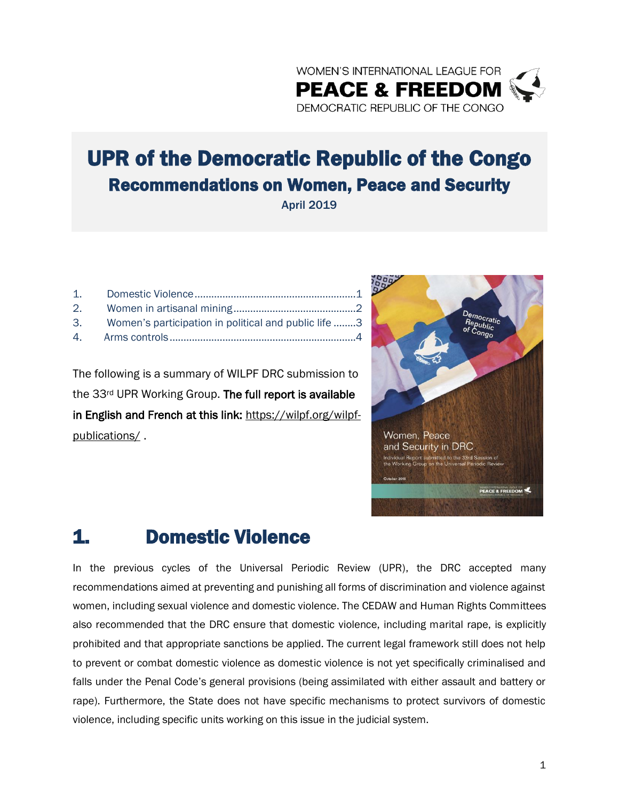

# UPR of the Democratic Republic of the Congo Recommendations on Women, Peace and Security

April 2019

| 2. |                                                      |  |
|----|------------------------------------------------------|--|
| 3. | Women's participation in political and public life 3 |  |
|    |                                                      |  |

The following is a summary of WILPF DRC submission to the 33<sup>rd</sup> UPR Working Group. The full report is available in English and French at this link: [https://wilpf.org/wilpf](https://wilpf.org/wilpf-publications/)[publications/](https://wilpf.org/wilpf-publications/) .



# <span id="page-0-0"></span>1. Domestic Violence

In the previous cycles of the Universal Periodic Review (UPR), the DRC accepted many recommendations aimed at preventing and punishing all forms of discrimination and violence against women, including sexual violence and domestic violence. The CEDAW and Human Rights Committees also recommended that the DRC ensure that domestic violence, including marital rape, is explicitly prohibited and that appropriate sanctions be applied. The current legal framework still does not help to prevent or combat domestic violence as domestic violence is not yet specifically criminalised and falls under the Penal Code's general provisions (being assimilated with either assault and battery or rape). Furthermore, the State does not have specific mechanisms to protect survivors of domestic violence, including specific units working on this issue in the judicial system.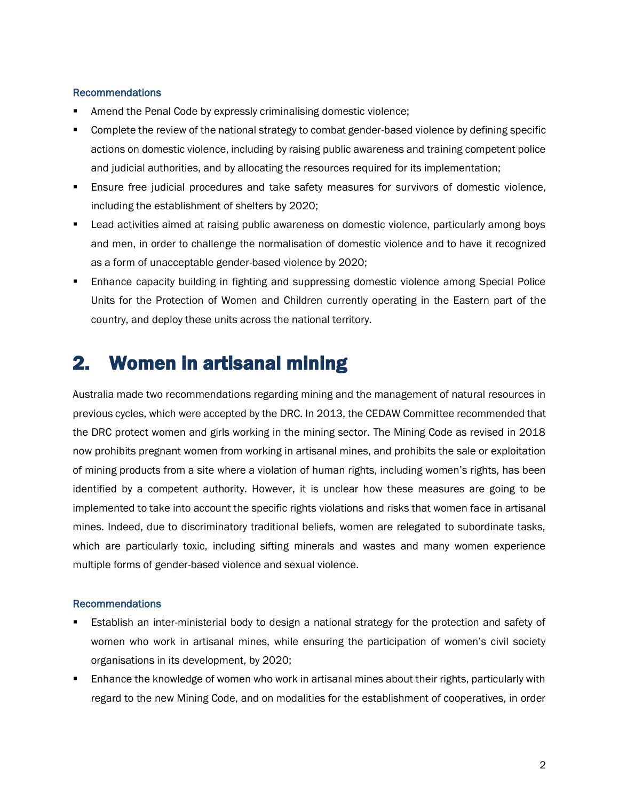#### Recommendations

- Amend the Penal Code by expressly criminalising domestic violence;
- Complete the review of the national strategy to combat gender-based violence by defining specific actions on domestic violence, including by raising public awareness and training competent police and judicial authorities, and by allocating the resources required for its implementation;
- Ensure free judicial procedures and take safety measures for survivors of domestic violence, including the establishment of shelters by 2020;
- Lead activities aimed at raising public awareness on domestic violence, particularly among boys and men, in order to challenge the normalisation of domestic violence and to have it recognized as a form of unacceptable gender-based violence by 2020;
- Enhance capacity building in fighting and suppressing domestic violence among Special Police Units for the Protection of Women and Children currently operating in the Eastern part of the country, and deploy these units across the national territory.

### <span id="page-1-0"></span>2. Women in artisanal mining

Australia made two recommendations regarding mining and the management of natural resources in previous cycles, which were accepted by the DRC. In 2013, the CEDAW Committee recommended that the DRC protect women and girls working in the mining sector. The Mining Code as revised in 2018 now prohibits pregnant women from working in artisanal mines, and prohibits the sale or exploitation of mining products from a site where a violation of human rights, including women's rights, has been identified by a competent authority. However, it is unclear how these measures are going to be implemented to take into account the specific rights violations and risks that women face in artisanal mines. Indeed, due to discriminatory traditional beliefs, women are relegated to subordinate tasks, which are particularly toxic, including sifting minerals and wastes and many women experience multiple forms of gender-based violence and sexual violence.

#### Recommendations

- Establish an inter-ministerial body to design a national strategy for the protection and safety of women who work in artisanal mines, while ensuring the participation of women's civil society organisations in its development, by 2020;
- **E** Enhance the knowledge of women who work in artisanal mines about their rights, particularly with regard to the new Mining Code, and on modalities for the establishment of cooperatives, in order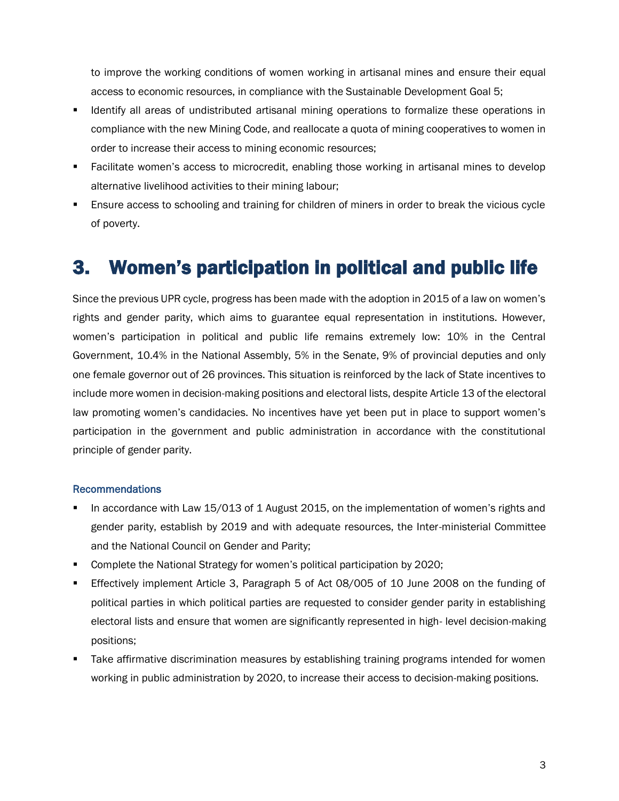to improve the working conditions of women working in artisanal mines and ensure their equal access to economic resources, in compliance with the Sustainable Development Goal 5;

- Identify all areas of undistributed artisanal mining operations to formalize these operations in compliance with the new Mining Code, and reallocate a quota of mining cooperatives to women in order to increase their access to mining economic resources;
- **•** Facilitate women's access to microcredit, enabling those working in artisanal mines to develop alternative livelihood activities to their mining labour;
- **E** Ensure access to schooling and training for children of miners in order to break the vicious cycle of poverty.

## <span id="page-2-0"></span>3. Women's participation in political and public life

Since the previous UPR cycle, progress has been made with the adoption in 2015 of a law on women's rights and gender parity, which aims to guarantee equal representation in institutions. However, women's participation in political and public life remains extremely low: 10% in the Central Government, 10.4% in the National Assembly, 5% in the Senate, 9% of provincial deputies and only one female governor out of 26 provinces. This situation is reinforced by the lack of State incentives to include more women in decision-making positions and electoral lists, despite Article 13 of the electoral law promoting women's candidacies. No incentives have yet been put in place to support women's participation in the government and public administration in accordance with the constitutional principle of gender parity.

#### Recommendations

- In accordance with Law 15/013 of 1 August 2015, on the implementation of women's rights and gender parity, establish by 2019 and with adequate resources, the Inter-ministerial Committee and the National Council on Gender and Parity;
- Complete the National Strategy for women's political participation by 2020;
- Effectively implement Article 3, Paragraph 5 of Act 08/005 of 10 June 2008 on the funding of political parties in which political parties are requested to consider gender parity in establishing electoral lists and ensure that women are significantly represented in high- level decision-making positions;
- **•** Take affirmative discrimination measures by establishing training programs intended for women working in public administration by 2020, to increase their access to decision-making positions.